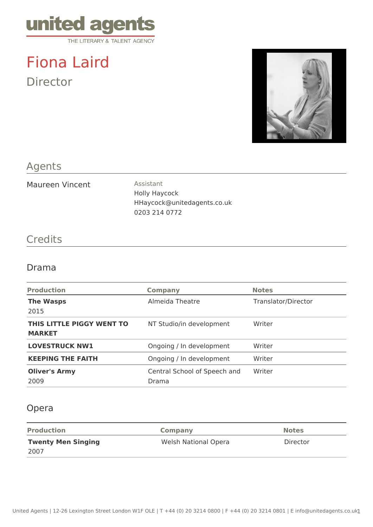

# Fiona Laird Director



## Agents

Maureen Vincent Assistant

Holly Haycock HHaycock@unitedagents.co.uk 0203 214 0772

### **Credits**

#### Drama

| <b>Production</b>                          | <b>Company</b>                        | <b>Notes</b>        |
|--------------------------------------------|---------------------------------------|---------------------|
| <b>The Wasps</b><br>2015                   | Almeida Theatre                       | Translator/Director |
| THIS LITTLE PIGGY WENT TO<br><b>MARKET</b> | NT Studio/in development              | Writer              |
| <b>LOVESTRUCK NW1</b>                      | Ongoing / In development              | Writer              |
| <b>KEEPING THE FAITH</b>                   | Ongoing / In development              | Writer              |
| <b>Oliver's Army</b><br>2009               | Central School of Speech and<br>Drama | Writer              |

### Opera

| <b>Production</b>         | Company              | <b>Notes</b> |
|---------------------------|----------------------|--------------|
| <b>Twenty Men Singing</b> | Welsh National Opera | Director     |
| 2007                      |                      |              |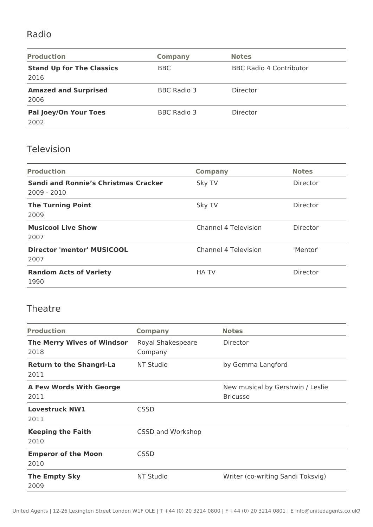## Radio

| <b>Production</b>                        | Company            | <b>Notes</b>                   |
|------------------------------------------|--------------------|--------------------------------|
| <b>Stand Up for The Classics</b><br>2016 | <b>BBC</b>         | <b>BBC Radio 4 Contributor</b> |
| <b>Amazed and Surprised</b><br>2006      | <b>BBC Radio 3</b> | Director                       |
| Pal Joey/On Your Toes<br>2002            | <b>BBC Radio 3</b> | Director                       |

## Television

| <b>Production</b>                                            | <b>Company</b>              | <b>Notes</b> |
|--------------------------------------------------------------|-----------------------------|--------------|
| <b>Sandi and Ronnie's Christmas Cracker</b><br>$2009 - 2010$ | Sky TV                      | Director     |
| <b>The Turning Point</b><br>2009                             | Sky TV                      | Director     |
| <b>Musicool Live Show</b><br>2007                            | <b>Channel 4 Television</b> | Director     |
| Director 'mentor' MUSICOOL<br>2007                           | <b>Channel 4 Television</b> | 'Mentor'     |
| <b>Random Acts of Variety</b><br>1990                        | <b>HATV</b>                 | Director     |

#### Theatre

| <b>Production</b>                         | <b>Company</b>               | <b>Notes</b>                                        |
|-------------------------------------------|------------------------------|-----------------------------------------------------|
| <b>The Merry Wives of Windsor</b><br>2018 | Royal Shakespeare<br>Company | Director                                            |
| <b>Return to the Shangri-La</b><br>2011   | NT Studio                    | by Gemma Langford                                   |
| <b>A Few Words With George</b><br>2011    |                              | New musical by Gershwin / Leslie<br><b>Bricusse</b> |
| <b>Lovestruck NW1</b><br>2011             | <b>CSSD</b>                  |                                                     |
| <b>Keeping the Faith</b><br>2010          | CSSD and Workshop            |                                                     |
| <b>Emperor of the Moon</b><br>2010        | <b>CSSD</b>                  |                                                     |
| <b>The Empty Sky</b><br>2009              | NT Studio                    | Writer (co-writing Sandi Toksvig)                   |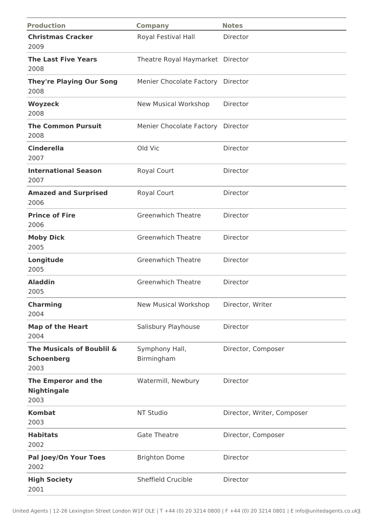| <b>Production</b>                                      | <b>Company</b>                    | <b>Notes</b>               |
|--------------------------------------------------------|-----------------------------------|----------------------------|
| <b>Christmas Cracker</b><br>2009                       | Royal Festival Hall               | Director                   |
| <b>The Last Five Years</b><br>2008                     | Theatre Royal Haymarket Director  |                            |
| <b>They're Playing Our Song</b><br>2008                | Menier Chocolate Factory Director |                            |
| <b>Woyzeck</b><br>2008                                 | New Musical Workshop              | Director                   |
| <b>The Common Pursuit</b><br>2008                      | Menier Chocolate Factory          | Director                   |
| <b>Cinderella</b><br>2007                              | Old Vic                           | Director                   |
| <b>International Season</b><br>2007                    | Royal Court                       | Director                   |
| <b>Amazed and Surprised</b><br>2006                    | Royal Court                       | Director                   |
| <b>Prince of Fire</b><br>2006                          | <b>Greenwhich Theatre</b>         | Director                   |
| <b>Moby Dick</b><br>2005                               | <b>Greenwhich Theatre</b>         | Director                   |
| Longitude<br>2005                                      | <b>Greenwhich Theatre</b>         | Director                   |
| <b>Aladdin</b><br>2005                                 | <b>Greenwhich Theatre</b>         | Director                   |
| <b>Charming</b><br>2004                                | New Musical Workshop              | Director, Writer           |
| <b>Map of the Heart</b><br>2004                        | Salisbury Playhouse               | Director                   |
| The Musicals of Boublil &<br><b>Schoenberg</b><br>2003 | Symphony Hall,<br>Birmingham      | Director, Composer         |
| The Emperor and the<br><b>Nightingale</b><br>2003      | Watermill, Newbury                | Director                   |
| <b>Kombat</b><br>2003                                  | NT Studio                         | Director, Writer, Composer |
| <b>Habitats</b><br>2002                                | <b>Gate Theatre</b>               | Director, Composer         |
| <b>Pal Joey/On Your Toes</b><br>2002                   | <b>Brighton Dome</b>              | Director                   |
| <b>High Society</b><br>2001                            | <b>Sheffield Crucible</b>         | Director                   |